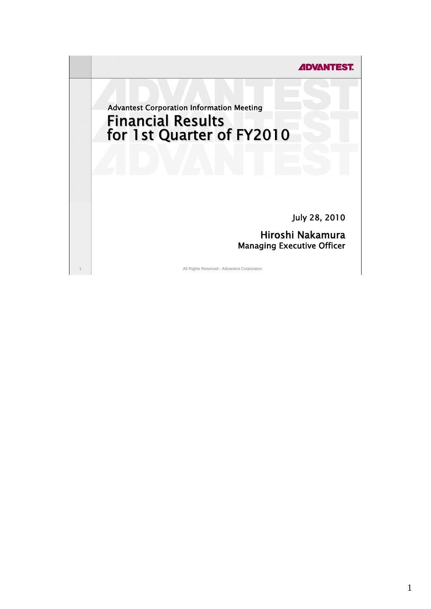**ADVANTEST.** 

## Advantest Corporation Information Meeting Financial Results for 1st Quarter of FY2010

July 28, 2010

Hiroshi Nakamura Managing Executive Officer

1 All Rights Reserved - Advantest Corporation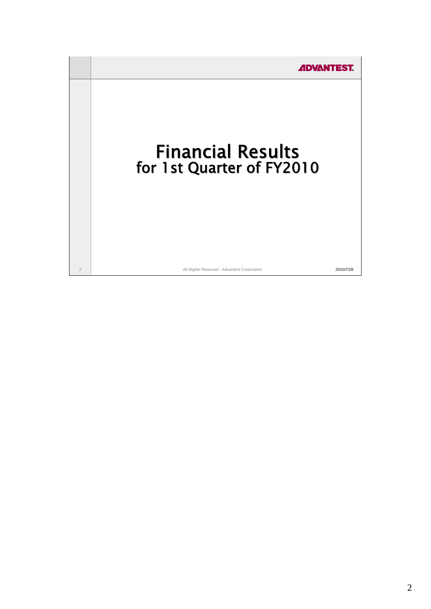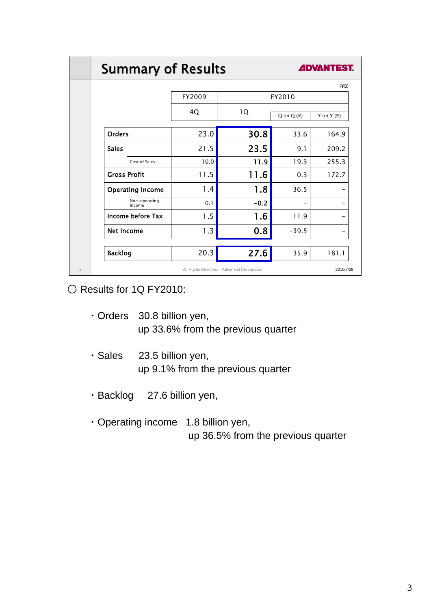# **Summary of Results**

**ADVANTEST.** 

|                         |        |                                             |              | (YB)          |
|-------------------------|--------|---------------------------------------------|--------------|---------------|
|                         | FY2009 | FY2010                                      |              |               |
|                         | 4Q     | 1Q                                          | Q on $Q$ $%$ | Y on Y $(\%)$ |
| <b>Orders</b>           | 23.0   | 30.8                                        | 33.6         | 164.9         |
| <b>Sales</b>            | 21.5   | 23.5                                        | 9.1          | 209.2         |
| Cost of Sales           | 10.0   | 11.9                                        | 19.3         | 255.3         |
| <b>Gross Profit</b>     | 11.5   | 11.6                                        | 0.3          | 172.7         |
| <b>Operating Income</b> | 1.4    | 1.8                                         | 36.5         |               |
| Non-operating<br>Income | 0.1    | $-0.2$                                      |              |               |
| Income before Tax       | 1.5    | 1.6                                         | 11.9         |               |
| <b>Net Income</b>       | 1.3    | 0.8                                         | $-39.5$      |               |
| <b>Backlog</b>          | 20.3   | 27.6                                        | 35.9         | 181.1         |
|                         |        | All Rights Reserved - Advantest Corporation |              | 2010/7/28     |

○ Results for 1Q FY2010:

- ・Orders 30.8 billion yen, up 33.6% from the previous quarter
- ・Sales 23.5 billion yen, up 9.1% from the previous quarter
- ・Backlog 27.6 billion yen,
- ・Operating income 1.8 billion yen, up 36.5% from the previous quarter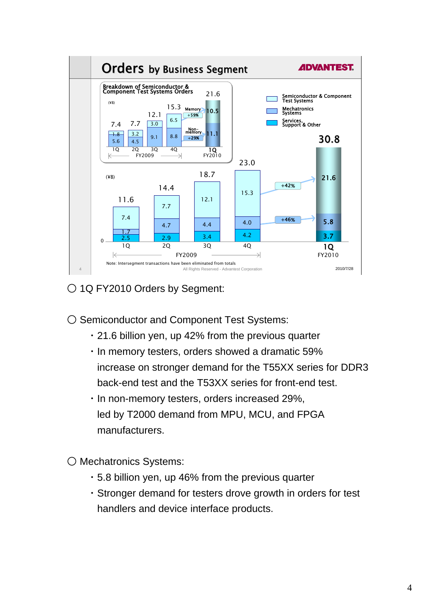

○ 1Q FY2010 Orders by Segment:

○ Semiconductor and Component Test Systems:

- ・21.6 billion yen, up 42% from the previous quarter
- ・In memory testers, orders showed a dramatic 59% increase on stronger demand for the T55XX series for DDR3 back-end test and the T53XX series for front-end test.
- ・In non-memory testers, orders increased 29%, led by T2000 demand from MPU, MCU, and FPGA manufacturers.

○ Mechatronics Systems:

- ・5.8 billion yen, up 46% from the previous quarter
- ・Stronger demand for testers drove growth in orders for test handlers and device interface products.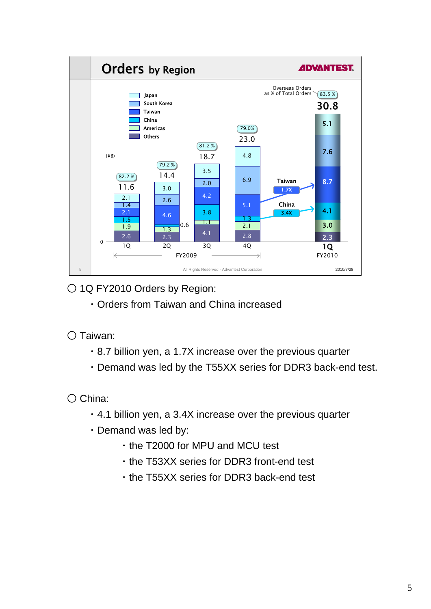

○ 1Q FY2010 Orders by Region:

- ・Orders from Taiwan and China increased
- Taiwan:
	- ・8.7 billion yen, a 1.7X increase over the previous quarter
	- ・Demand was led by the T55XX series for DDR3 back-end test.

○ China:

- ・4.1 billion yen, a 3.4X increase over the previous quarter
- ・Demand was led by:
	- ・the T2000 for MPU and MCU test
	- ・the T53XX series for DDR3 front-end test
	- ・the T55XX series for DDR3 back-end test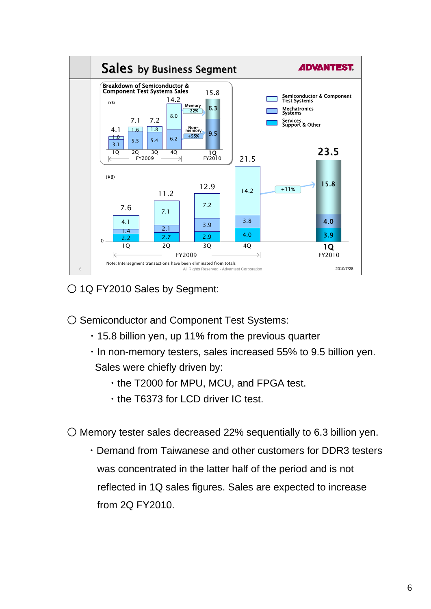

O 1Q FY2010 Sales by Segment:

○ Semiconductor and Component Test Systems:

- ・15.8 billion yen, up 11% from the previous quarter
- ・In non-memory testers, sales increased 55% to 9.5 billion yen. Sales were chiefly driven by:
	- ・the T2000 for MPU, MCU, and FPGA test.
	- ・the T6373 for LCD driver IC test.

○ Memory tester sales decreased 22% sequentially to 6.3 billion yen.

・Demand from Taiwanese and other customers for DDR3 testers was concentrated in the latter half of the period and is not reflected in 1Q sales figures. Sales are expected to increase from 2Q FY2010.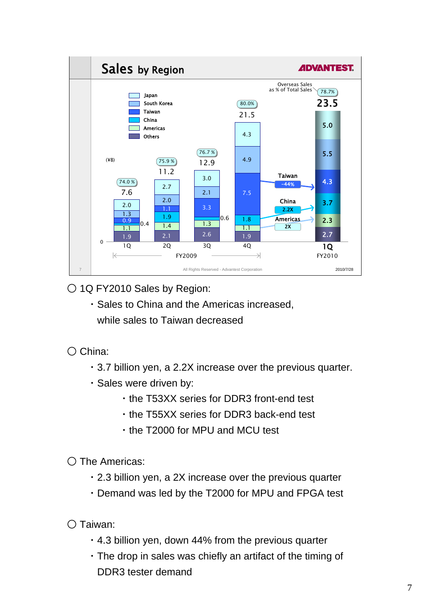

○ 1Q FY2010 Sales by Region:

- ・Sales to China and the Americas increased, while sales to Taiwan decreased
- China:
	- ・3.7 billion yen, a 2.2X increase over the previous quarter.
	- ・Sales were driven by:
		- ・the T53XX series for DDR3 front-end test
		- ・the T55XX series for DDR3 back-end test
		- ・the T2000 for MPU and MCU test

○ The Americas:

- ・2.3 billion yen, a 2X increase over the previous quarter
- ・Demand was led by the T2000 for MPU and FPGA test

○ Taiwan:

- ・4.3 billion yen, down 44% from the previous quarter
- ・The drop in sales was chiefly an artifact of the timing of DDR3 tester demand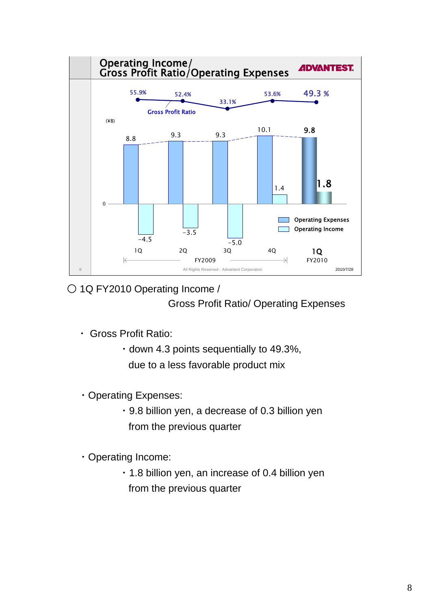

○ 1Q FY2010 Operating Income /

Gross Profit Ratio/ Operating Expenses

- ・ Gross Profit Ratio:
	- ・down 4.3 points sequentially to 49.3%, due to a less favorable product mix
- ・Operating Expenses:
	- ・9.8 billion yen, a decrease of 0.3 billion yen from the previous quarter
- ・Operating Income:
	- ・1.8 billion yen, an increase of 0.4 billion yen from the previous quarter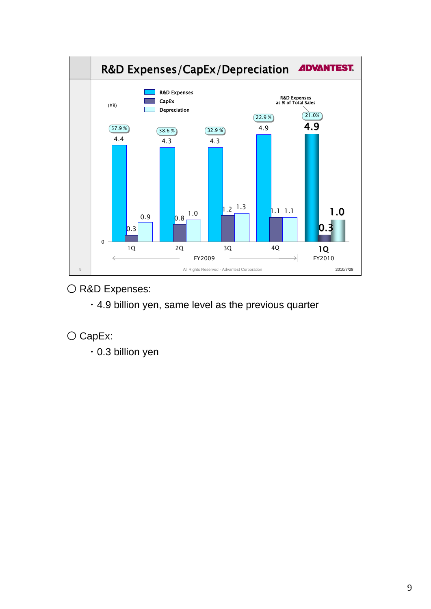

- O R&D Expenses:
	- ・4.9 billion yen, same level as the previous quarter
- O CapEx:
	- ・0.3 billion yen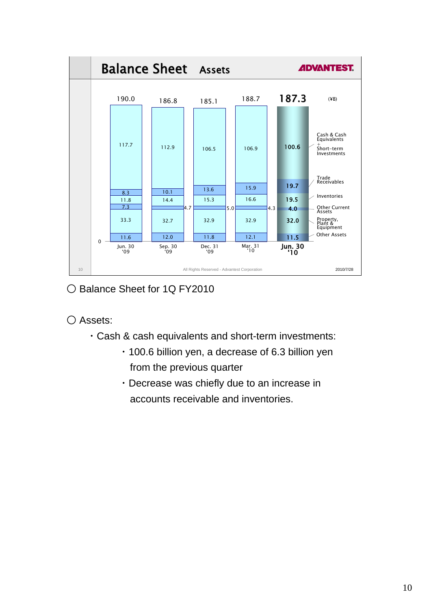

○ Balance Sheet for 1Q FY2010

○ Assets:

- ・Cash & cash equivalents and short-term investments:
	- ・100.6 billion yen, a decrease of 6.3 billion yen from the previous quarter
	- ・Decrease was chiefly due to an increase in accounts receivable and inventories.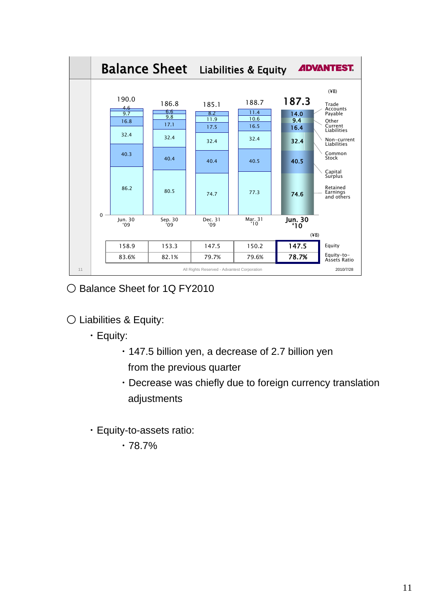

○ Balance Sheet for 1Q FY2010

○ Liabilities & Equity:

・Equity:

- ・147.5 billion yen, a decrease of 2.7 billion yen from the previous quarter
- ・Decrease was chiefly due to foreign currency translation adjustments
- ・Equity-to-assets ratio:
	- $.78.7%$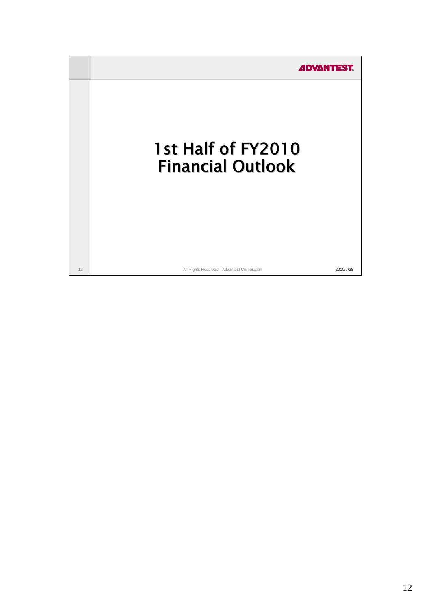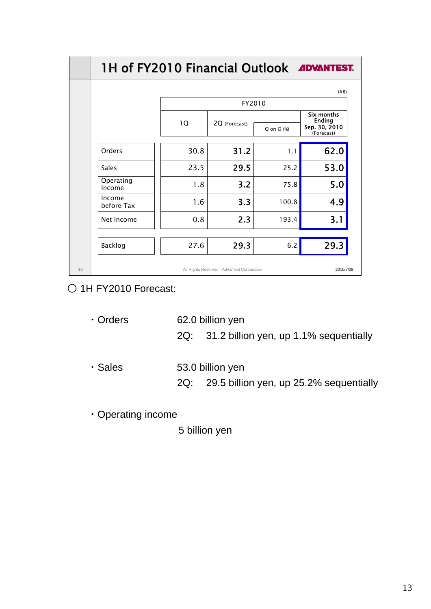|    | 1H of FY2010 Financial Outlook ADVANTEST. |        |                                             |       |                                              |  |  |  |
|----|-------------------------------------------|--------|---------------------------------------------|-------|----------------------------------------------|--|--|--|
|    |                                           |        |                                             |       | $(\angle$ B)                                 |  |  |  |
|    |                                           | FY2010 |                                             |       |                                              |  |  |  |
|    |                                           | 1Q     | 2Q (Forecast)<br>Q on $Q$ $(\%)$            |       | Six months<br><b>Ending</b><br>Sep. 30, 2010 |  |  |  |
|    | (Forecast)                                |        |                                             |       |                                              |  |  |  |
|    | Orders                                    | 30.8   | 31.2                                        | 1.1   | 62.0                                         |  |  |  |
|    | <b>Sales</b>                              | 23.5   | 29.5                                        | 25.2  | 53.0                                         |  |  |  |
|    | Operating<br>Income                       | 1.8    | 3.2                                         | 75.8  | 5.0                                          |  |  |  |
|    | Income<br>before Tax                      | 1.6    | 3.3                                         | 100.8 | 4.9                                          |  |  |  |
|    | Net Income                                | 0.8    | 2.3                                         | 193.4 | 3.1                                          |  |  |  |
|    |                                           |        |                                             |       |                                              |  |  |  |
|    | Backlog                                   | 27.6   | 29.3                                        | 6.2   | 29.3                                         |  |  |  |
| 13 |                                           |        | All Rights Reserved - Advantest Corporation |       | 2010/7/28                                    |  |  |  |

○ 1H FY2010 Forecast:

- ・Orders 62.0 billion yen 2Q: 31.2 billion yen, up 1.1% sequentially
- ・Sales 53.0 billion yen 2Q: 29.5 billion yen, up 25.2% sequentially
- ・Operating income

5 billion yen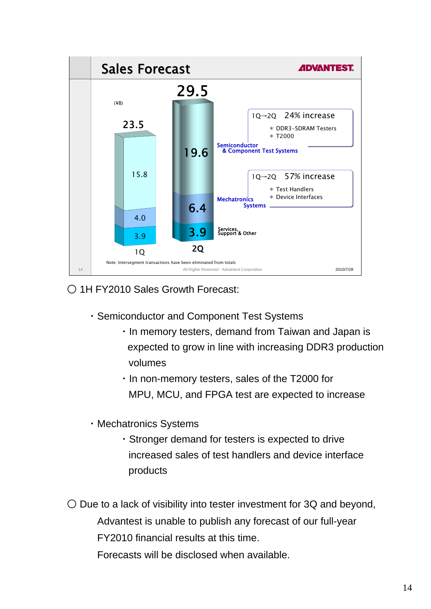

○ 1H FY2010 Sales Growth Forecast:

- ・Semiconductor and Component Test Systems
	- ・In memory testers, demand from Taiwan and Japan is expected to grow in line with increasing DDR3 production volumes
	- ・In non-memory testers, sales of the T2000 for MPU, MCU, and FPGA test are expected to increase
- ・Mechatronics Systems
	- ・Stronger demand for testers is expected to drive increased sales of test handlers and device interface products

 $\bigcirc$  Due to a lack of visibility into tester investment for 3Q and beyond, Advantest is unable to publish any forecast of our full-year FY2010 financial results at this time. Forecasts will be disclosed when available.